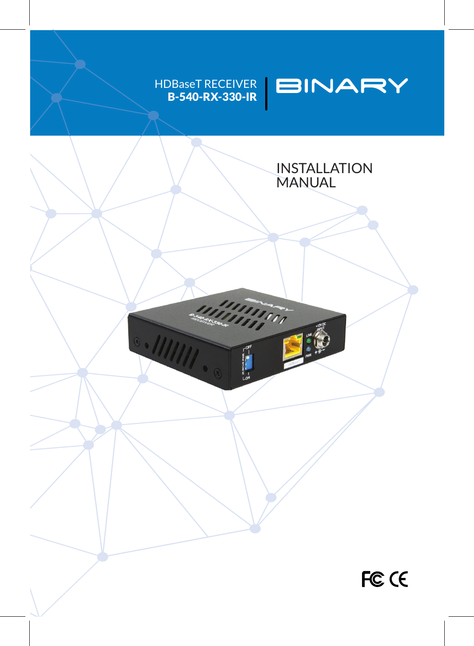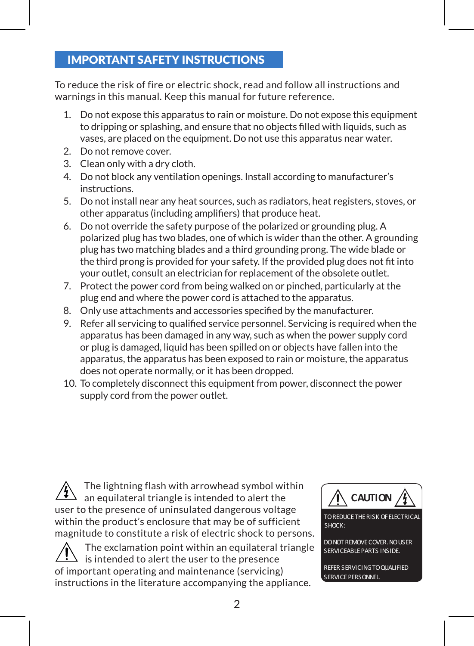### IMPORTANT SAFETY INSTRUCTIONS

To reduce the risk of fire or electric shock, read and follow all instructions and warnings in this manual. Keep this manual for future reference.

- 1. Do not expose this apparatus to rain or moisture. Do not expose this equipment to dripping or splashing, and ensure that no objects filled with liquids, such as vases, are placed on the equipment. Do not use this apparatus near water.
- 2. Do not remove cover.
- 3. Clean only with a dry cloth.
- 4. Do not block any ventilation openings. Install according to manufacturer's instructions.
- 5. Do not install near any heat sources, such as radiators, heat registers, stoves, or other apparatus (including amplifiers) that produce heat.
- 6. Do not override the safety purpose of the polarized or grounding plug. A polarized plug has two blades, one of which is wider than the other. A grounding plug has two matching blades and a third grounding prong. The wide blade or the third prong is provided for your safety. If the provided plug does not fit into your outlet, consult an electrician for replacement of the obsolete outlet.
- 7. Protect the power cord from being walked on or pinched, particularly at the plug end and where the power cord is attached to the apparatus.
- 8. Only use attachments and accessories specified by the manufacturer.
- 9. Refer all servicing to qualified service personnel. Servicing is required when the apparatus has been damaged in any way, such as when the power supply cord or plug is damaged, liquid has been spilled on or objects have fallen into the apparatus, the apparatus has been exposed to rain or moisture, the apparatus does not operate normally, or it has been dropped.
- 10. To completely disconnect this equipment from power, disconnect the power supply cord from the power outlet.

The lightning flash with arrowhead symbol within an equilateral triangle is intended to alert the user to the presence of uninsulated dangerous voltage within the product's enclosure that may be of sufficient magnitude to constitute a risk of electric shock to persons.

The exclamation point within an equilateral triangle is intended to alert the user to the presence of important operating and maintenance (servicing) instructions in the literature accompanying the appliance.

**CAUTION** TO REDUCE THE RISK OF ELECTRICA SHOCK: DONOT REMOVECOVER.NOUSER

SERVICEABLE PARTS INSIDE. REFER SERVICINGTOQUALIFIED SERVICE PERSONNEL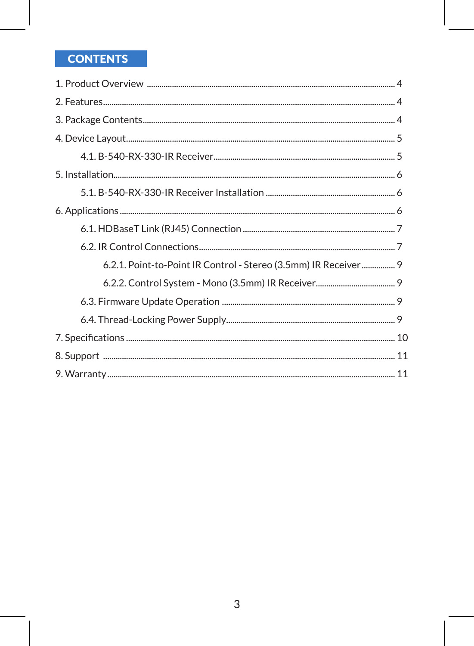# **CONTENTS**

| 6.2.1. Point-to-Point IR Control - Stereo (3.5mm) IR Receiver 9 |  |
|-----------------------------------------------------------------|--|
|                                                                 |  |
|                                                                 |  |
|                                                                 |  |
|                                                                 |  |
|                                                                 |  |
|                                                                 |  |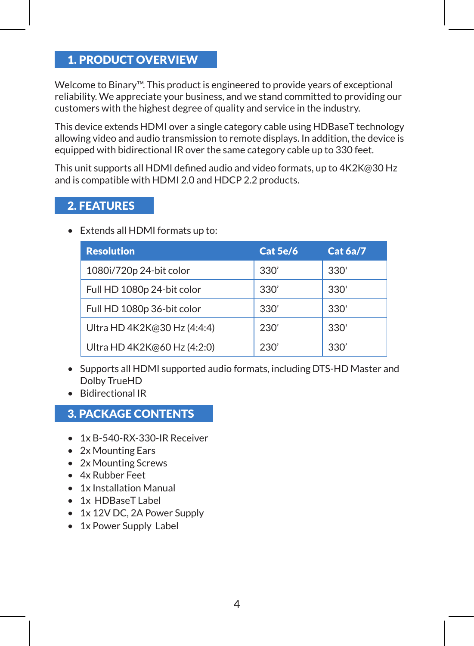### 1. PRODUCT OVERVIEW

Welcome to Binary™. This product is engineered to provide years of exceptional reliability. We appreciate your business, and we stand committed to providing our customers with the highest degree of quality and service in the industry.

This device extends HDMI over a single category cable using HDBaseT technology allowing video and audio transmission to remote displays. In addition, the device is equipped with bidirectional IR over the same category cable up to 330 feet.

This unit supports all HDMI defined audio and video formats, up to 4K2K@30 Hz and is compatible with HDMI 2.0 and HDCP 2.2 products.

#### 2. FEATURES

• Extends all HDMI formats up to:

| <b>Resolution</b>           | Cat 5e/6 | <b>Cat 6a/7</b> |
|-----------------------------|----------|-----------------|
| 1080i/720p 24-bit color     | 330'     | 330'            |
| Full HD 1080p 24-bit color  | 330'     | 330'            |
| Full HD 1080p 36-bit color  | 330'     | 330'            |
| Ultra HD 4K2K@30 Hz (4:4:4) | 230'     | 330'            |
| Ultra HD 4K2K@60 Hz (4:2:0) | 230'     | 330'            |

- Supports all HDMI supported audio formats, including DTS-HD Master and Dolby TrueHD
- Bidirectional IR

## 3. PACKAGE CONTENTS

- 1x B-540-RX-330-IR Receiver
- 2x Mounting Ears
- 2x Mounting Screws
- 4x Rubber Feet
- 1x Installation Manual
- 1x HDBaseT Label
- 1x 12V DC, 2A Power Supply
- 1x Power Supply Label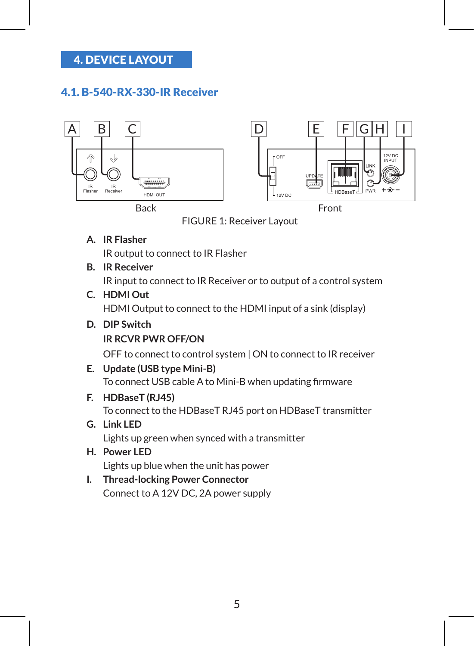## 4. DEVICE LAYOUT

#### 4.1. B-540-RX-330-IR Receiver



FIGURE 1: Receiver Layout

**A. IR Flasher**

IR output to connect to IR Flasher

**B. IR Receiver**

IR input to connect to IR Receiver or to output of a control system

**C. HDMI Out** 

HDMI Output to connect to the HDMI input of a sink (display)

**D. DIP Switch IR RCVR PWR OFF/ON**

OFF to connect to control system | ON to connect to IR receiver

**E. Update (USB type Mini-B)**

To connect USB cable A to Mini-B when updating firmware

**F. HDBaseT (RJ45)**

To connect to the HDBaseT RJ45 port on HDBaseT transmitter

- **G. Link LED** Lights up green when synced with a transmitter
- **H. Power LED** Lights up blue when the unit has power
- **I. Thread-locking Power Connector** Connect to A 12V DC, 2A power supply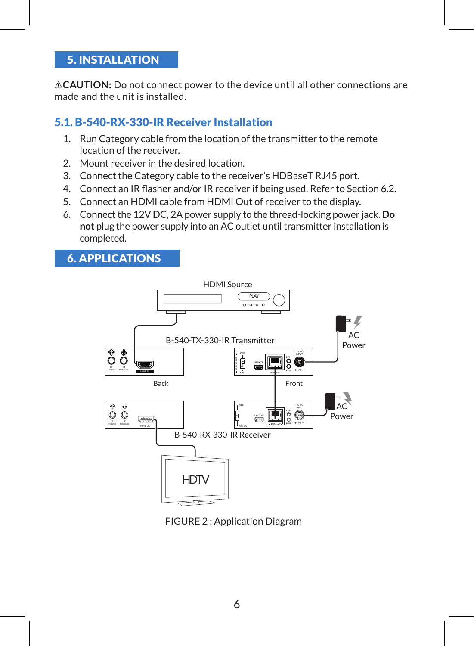### 5. INSTALLATION

**CAUTION:** Do not connect power to the device until all other connections are made and the unit is installed.

### 5.1. B-540-RX-330-IR Receiver Installation

- 1. Run Category cable from the location of the transmitter to the remote location of the receiver.
- 2. Mount receiver in the desired location.
- 3. Connect the Category cable to the receiver's HDBaseT RJ45 port.
- 4. Connect an IR flasher and/or IR receiver if being used. Refer to Section 6.2.
- 5. Connect an HDMI cable from HDMI Out of receiver to the display.
- 6. Connect the 12V DC, 2A power supply to the thread-locking power jack. **Do not** plug the power supply into an AC outlet until transmitter installation is completed.

### 6. APPLICATIONS



FIGURE 2 : Application Diagram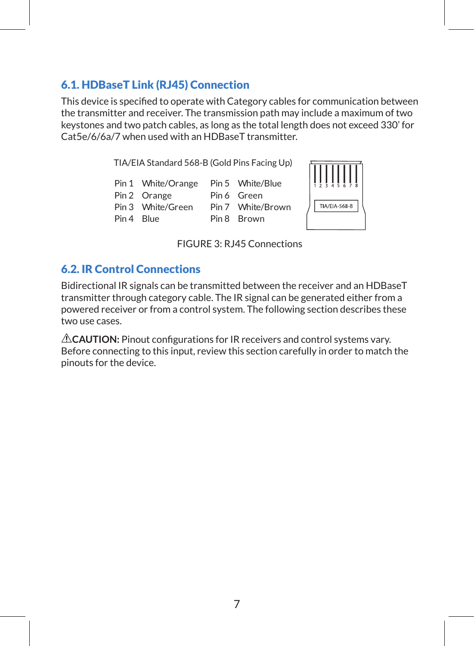#### 6.1. HDBaseT Link (RJ45) Connection

This device is specified to operate with Category cables for communication between the transmitter and receiver. The transmission path may include a maximum of two keystones and two patch cables, as long as the total length does not exceed 330' for Cat5e/6/6a/7 when used with an HDBaseT transmitter.

TIA/EIA Standard 568-B (Gold Pins Facing Up)

|            | Pin 1 White/Orange | Pin 5 White/Blue  |
|------------|--------------------|-------------------|
|            | Pin 2 Orange       | Pin 6 Green       |
|            | Pin 3 White/Green  | Pin 7 White/Brown |
| Pin 4 Blue |                    | Pin 8 Brown       |



FIGURE 3: RJ45 Connections

## 6.2. IR Control Connections

Bidirectional IR signals can be transmitted between the receiver and an HDBaseT transmitter through category cable. The IR signal can be generated either from a powered receiver or from a control system. The following section describes these two use cases.

**CAUTION:** Pinout configurations for IR receivers and control systems vary. Before connecting to this input, review this section carefully in order to match the pinouts for the device.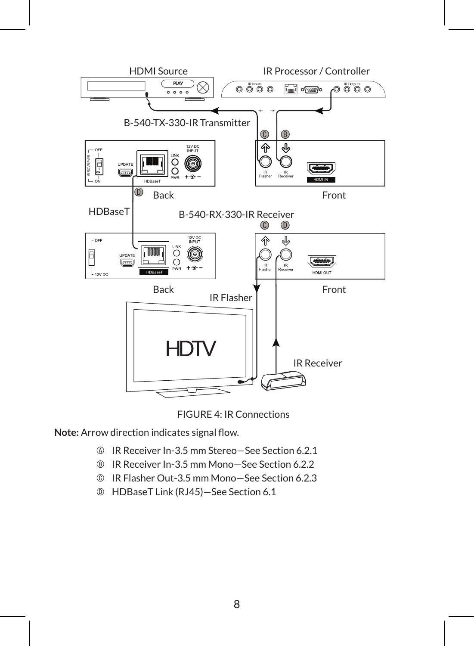



**Note:** Arrow direction indicates signal flow.

- IR Receiver In-3.5 mm Stereo—See Section 6.2.1
- IR Receiver In-3.5 mm Mono—See Section 6.2.2
- IR Flasher Out-3.5 mm Mono—See Section 6.2.3
- D HDBaseT Link (RJ45)—See Section 6.1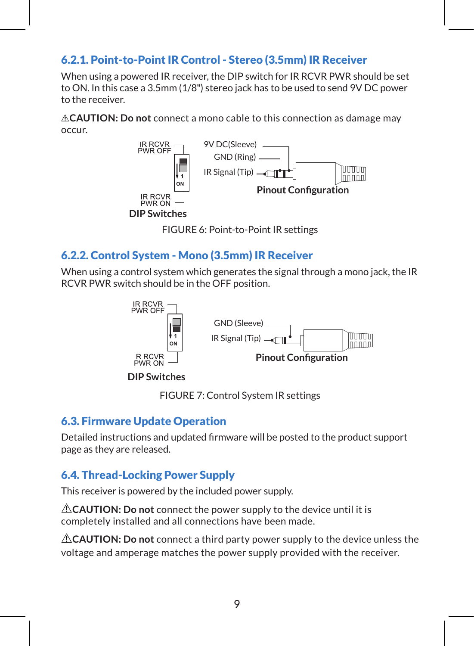## 6.2.1. Point-to-Point IR Control - Stereo (3.5mm) IR Receiver

When using a powered IR receiver, the DIP switch for IR RCVR PWR should be set to ON. In this case a 3.5mm (1/8") stereo jack has to be used to send 9V DC power to the receiver.

**CAUTION: Do not** connect a mono cable to this connection as damage may occur.



FIGURE 6: Point-to-Point IR settings

#### 6.2.2. Control System - Mono (3.5mm) IR Receiver

When using a control system which generates the signal through a mono jack, the IR RCVR PWR switch should be in the OFF position.



FIGURE 7: Control System IR settings

#### 6.3. Firmware Update Operation

Detailed instructions and updated firmware will be posted to the product support page as they are released.

## 6.4. Thread-Locking Power Supply

This receiver is powered by the included power supply.

**CAUTION: Do not** connect the power supply to the device until it is completely installed and all connections have been made.

**CAUTION: Do not** connect a third party power supply to the device unless the voltage and amperage matches the power supply provided with the receiver.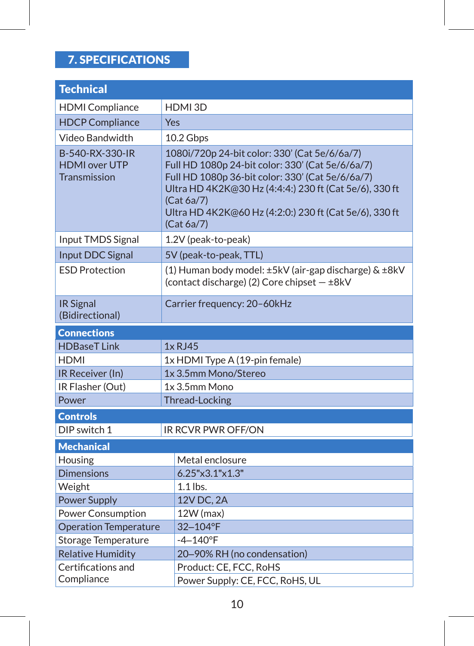# 7. SPECIFICATIONS

| <b>Technical</b>                                               |                                                                                                                                                                                                                                                                                                       |  |  |
|----------------------------------------------------------------|-------------------------------------------------------------------------------------------------------------------------------------------------------------------------------------------------------------------------------------------------------------------------------------------------------|--|--|
| <b>HDMI</b> Compliance                                         | HDMI3D                                                                                                                                                                                                                                                                                                |  |  |
| <b>HDCP Compliance</b>                                         | Yes                                                                                                                                                                                                                                                                                                   |  |  |
| Video Bandwidth                                                | 10.2 Gbps                                                                                                                                                                                                                                                                                             |  |  |
| B-540-RX-330-IR<br><b>HDMI</b> over UTP<br><b>Transmission</b> | 1080i/720p 24-bit color: 330' (Cat 5e/6/6a/7)<br>Full HD 1080p 24-bit color: 330' (Cat 5e/6/6a/7)<br>Full HD 1080p 36-bit color: 330' (Cat 5e/6/6a/7)<br>Ultra HD 4K2K@30 Hz (4:4:4:) 230 ft (Cat 5e/6), 330 ft<br>(Cat 6a/7)<br>Ultra HD 4K2K@60 Hz (4:2:0:) 230 ft (Cat 5e/6), 330 ft<br>(Cat 6a/7) |  |  |
| Input TMDS Signal                                              | 1.2V (peak-to-peak)                                                                                                                                                                                                                                                                                   |  |  |
| Input DDC Signal                                               | 5V (peak-to-peak, TTL)                                                                                                                                                                                                                                                                                |  |  |
| <b>ESD Protection</b>                                          | (1) Human body model: ±5kV (air-gap discharge) & ±8kV<br>(contact discharge) (2) Core chipset - ±8kV                                                                                                                                                                                                  |  |  |
| <b>IR Signal</b><br>(Bidirectional)                            | Carrier frequency: 20-60kHz                                                                                                                                                                                                                                                                           |  |  |
| <b>Connections</b>                                             |                                                                                                                                                                                                                                                                                                       |  |  |
| <b>HDBaseT Link</b>                                            | $1x$ RJ45                                                                                                                                                                                                                                                                                             |  |  |
| <b>HDMI</b>                                                    | 1x HDMI Type A (19-pin female)                                                                                                                                                                                                                                                                        |  |  |
| IR Receiver (In)                                               | 1x 3.5mm Mono/Stereo                                                                                                                                                                                                                                                                                  |  |  |
| IR Flasher (Out)                                               | 1x 3.5mm Mono                                                                                                                                                                                                                                                                                         |  |  |
| Power                                                          | <b>Thread-Locking</b>                                                                                                                                                                                                                                                                                 |  |  |
| <b>Controls</b>                                                |                                                                                                                                                                                                                                                                                                       |  |  |
| DIP switch 1                                                   | <b>IR RCVR PWR OFF/ON</b>                                                                                                                                                                                                                                                                             |  |  |
| <b>Mechanical</b>                                              |                                                                                                                                                                                                                                                                                                       |  |  |
| Housing                                                        | Metal enclosure                                                                                                                                                                                                                                                                                       |  |  |
| <b>Dimensions</b>                                              | 6.25"x3.1"x1.3"                                                                                                                                                                                                                                                                                       |  |  |
| Weight                                                         | $1.1$ lbs.                                                                                                                                                                                                                                                                                            |  |  |
| <b>Power Supply</b>                                            | 12V DC, 2A                                                                                                                                                                                                                                                                                            |  |  |
| Power Consumption                                              | 12W (max)                                                                                                                                                                                                                                                                                             |  |  |
| <b>Operation Temperature</b>                                   | 32-104°F                                                                                                                                                                                                                                                                                              |  |  |
| <b>Storage Temperature</b>                                     | $-4 - 140$ °F                                                                                                                                                                                                                                                                                         |  |  |
| <b>Relative Humidity</b>                                       | 20-90% RH (no condensation)                                                                                                                                                                                                                                                                           |  |  |
| Certifications and                                             | Product: CE, FCC, RoHS                                                                                                                                                                                                                                                                                |  |  |
| Compliance                                                     | Power Supply: CE, FCC, RoHS, UL                                                                                                                                                                                                                                                                       |  |  |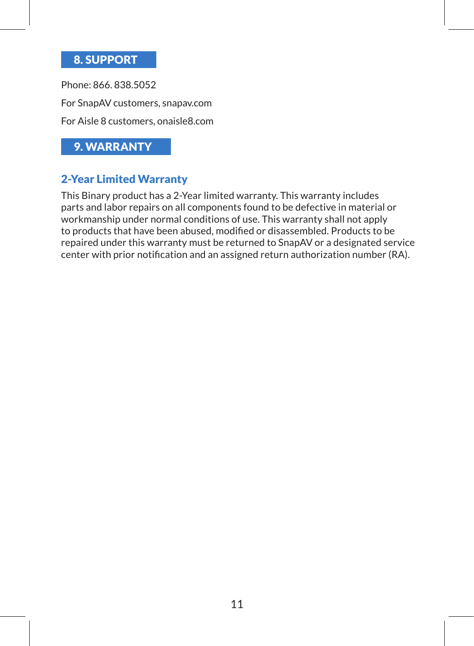#### 8. SUPPORT

Phone: 866. 838.5052 For SnapAV customers, snapav.com For Aisle 8 customers, onaisle8.com

## 9. WARRANTY

#### 2-Year Limited Warranty

This Binary product has a 2-Year limited warranty. This warranty includes parts and labor repairs on all components found to be defective in material or workmanship under normal conditions of use. This warranty shall not apply to products that have been abused, modified or disassembled. Products to be repaired under this warranty must be returned to SnapAV or a designated service center with prior notification and an assigned return authorization number (RA).